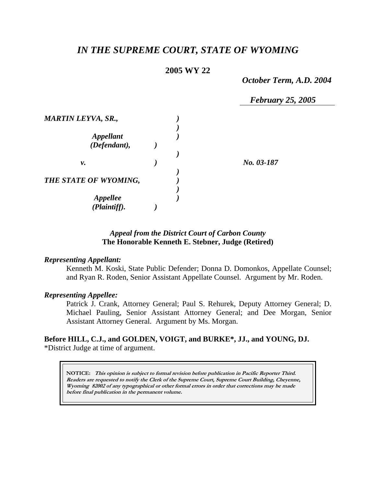# *IN THE SUPREME COURT, STATE OF WYOMING*

# **2005 WY 22**

*October Term, A.D. 2004* 

 *February 25, 2005* 

| <b>MARTIN LEYVA, SR.,</b>        |  |            |
|----------------------------------|--|------------|
| <b>Appellant</b><br>(Defendant), |  |            |
|                                  |  |            |
| v.                               |  | No. 03-187 |
| THE STATE OF WYOMING,            |  |            |
| <b>Appellee</b>                  |  |            |
| (Plaintiff).                     |  |            |

# *Appeal from the District Court of Carbon County* **The Honorable Kenneth E. Stebner, Judge (Retired)**

### *Representing Appellant:*

Kenneth M. Koski, State Public Defender; Donna D. Domonkos, Appellate Counsel; and Ryan R. Roden, Senior Assistant Appellate Counsel. Argument by Mr. Roden.

### *Representing Appellee:*

Patrick J. Crank, Attorney General; Paul S. Rehurek, Deputy Attorney General; D. Michael Pauling, Senior Assistant Attorney General; and Dee Morgan, Senior Assistant Attorney General. Argument by Ms. Morgan.

# **Before HILL, C.J., and GOLDEN, VOIGT, and BURKE\*, JJ., and YOUNG, DJ.** \*District Judge at time of argument.

**NOTICE: This opinion is subject to formal revision before publication in Pacific Reporter Third. Readers are requested to notify the Clerk of the Supreme Court, Supreme Court Building, Cheyenne, Wyoming 82002 of any typographical or other formal errors in order that corrections may be made before final publication in the permanent volume.**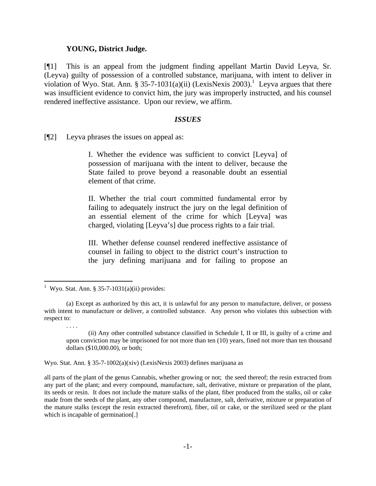### **YOUNG, District Judge.**

[¶1] This is an appeal from the judgment finding appellant Martin David Leyva, Sr. (Leyva) guilty of possession of a controlled substance, marijuana, with intent to deliver in violationof Wyo. Stat. Ann. § 35-7-1031(a)(ii) (LexisNexis 2003).<sup>1</sup> Leyva argues that there was insufficient evidence to convict him, the jury was improperly instructed, and his counsel rendered ineffective assistance. Upon our review, we affirm.

### *ISSUES*

[¶2] Leyva phrases the issues on appeal as:

I. Whether the evidence was sufficient to convict [Leyva] of possession of marijuana with the intent to deliver, because the State failed to prove beyond a reasonable doubt an essential element of that crime.

II. Whether the trial court committed fundamental error by failing to adequately instruct the jury on the legal definition of an essential element of the crime for which [Leyva] was charged, violating [Leyva's] due process rights to a fair trial.

III. Whether defense counsel rendered ineffective assistance of counsel in failing to object to the district court's instruction to the jury defining marijuana and for failing to propose an

. . . .

Wyo. Stat. Ann. § 35-7-1002(a)(xiv) (LexisNexis 2003) defines marijuana as

all parts of the plant of the genus Cannabis, whether growing or not; the seed thereof; the resin extracted from any part of the plant; and every compound, manufacture, salt, derivative, mixture or preparation of the plant, its seeds or resin. It does not include the mature stalks of the plant, fiber produced from the stalks, oil or cake made from the seeds of the plant, any other compound, manufacture, salt, derivative, mixture or preparation of the mature stalks (except the resin extracted therefrom), fiber, oil or cake, or the sterilized seed or the plant which is incapable of germination[.]

<span id="page-1-0"></span> 1 Wyo. Stat. Ann. § 35-7-1031(a)(ii) provides:

 <sup>(</sup>a) Except as authorized by this act, it is unlawful for any person to manufacture, deliver, or possess with intent to manufacture or deliver, a controlled substance. Any person who violates this subsection with respect to:

<sup>(</sup>ii) Any other controlled substance classified in Schedule I, II or III, is guilty of a crime and upon conviction may be imprisoned for not more than ten (10) years, fined not more than ten thousand dollars (\$10,000.00), or both;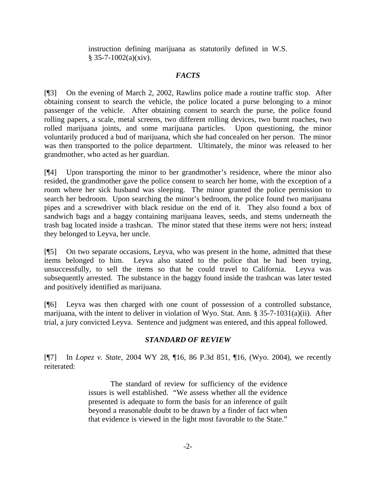instruction defining marijuana as statutorily defined in W.S.  $$35-7-1002(a)(xiv).$ 

# *FACTS*

[¶3] On the evening of March 2, 2002, Rawlins police made a routine traffic stop. After obtaining consent to search the vehicle, the police located a purse belonging to a minor passenger of the vehicle. After obtaining consent to search the purse, the police found rolling papers, a scale, metal screens, two different rolling devices, two burnt roaches, two rolled marijuana joints, and some marijuana particles. Upon questioning, the minor voluntarily produced a bud of marijuana, which she had concealed on her person. The minor was then transported to the police department. Ultimately, the minor was released to her grandmother, who acted as her guardian.

[¶4] Upon transporting the minor to her grandmother's residence, where the minor also resided, the grandmother gave the police consent to search her home, with the exception of a room where her sick husband was sleeping. The minor granted the police permission to search her bedroom. Upon searching the minor's bedroom, the police found two marijuana pipes and a screwdriver with black residue on the end of it. They also found a box of sandwich bags and a baggy containing marijuana leaves, seeds, and stems underneath the trash bag located inside a trashcan. The minor stated that these items were not hers; instead they belonged to Leyva, her uncle.

[¶5] On two separate occasions, Leyva, who was present in the home, admitted that these items belonged to him. Leyva also stated to the police that he had been trying, unsuccessfully, to sell the items so that he could travel to California. Leyva was subsequently arrested. The substance in the baggy found inside the trashcan was later tested and positively identified as marijuana.

[¶6] Leyva was then charged with one count of possession of a controlled substance, marijuana, with the intent to deliver in violation of Wyo. Stat. Ann. § 35-7-1031(a)(ii). After trial, a jury convicted Leyva. Sentence and judgment was entered, and this appeal followed.

# *STANDARD OF REVIEW*

[¶7] In *Lopez v. State*, 2004 WY 28, ¶16, 86 P.3d 851, ¶16, (Wyo. 2004), we recently reiterated:

> The standard of review for sufficiency of the evidence issues is well established. "We assess whether all the evidence presented is adequate to form the basis for an inference of guilt beyond a reasonable doubt to be drawn by a finder of fact when that evidence is viewed in the light most favorable to the State."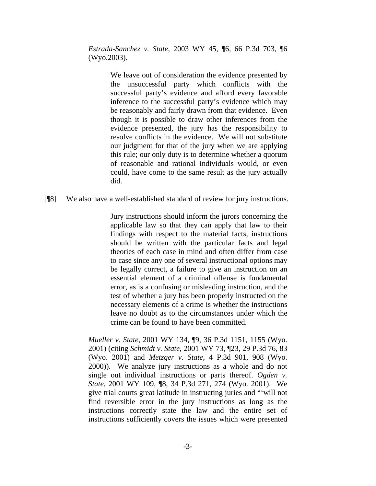*Estrada-Sanchez v. State*, 2003 WY 45, ¶6, 66 P.3d 703, ¶6 (Wyo.2003).

> We leave out of consideration the evidence presented by the unsuccessful party which conflicts with the successful party's evidence and afford every favorable inference to the successful party's evidence which may be reasonably and fairly drawn from that evidence. Even though it is possible to draw other inferences from the evidence presented, the jury has the responsibility to resolve conflicts in the evidence. We will not substitute our judgment for that of the jury when we are applying this rule; our only duty is to determine whether a quorum of reasonable and rational individuals would, or even could, have come to the same result as the jury actually did.

### [¶8] We also have a well-established standard of review for jury instructions.

Jury instructions should inform the jurors concerning the applicable law so that they can apply that law to their findings with respect to the material facts, instructions should be written with the particular facts and legal theories of each case in mind and often differ from case to case since any one of several instructional options may be legally correct, a failure to give an instruction on an essential element of a criminal offense is fundamental error, as is a confusing or misleading instruction, and the test of whether a jury has been properly instructed on the necessary elements of a crime is whether the instructions leave no doubt as to the circumstances under which the crime can be found to have been committed.

*Mueller v. State*, 2001 WY 134, ¶9, 36 P.3d 1151, 1155 (Wyo. 2001) (citing *Schmidt v. State*, 2001 WY 73, ¶23, 29 P.3d 76, 83 (Wyo. 2001) and *Metzger v. State*, 4 P.3d 901, 908 (Wyo. 2000)). We analyze jury instructions as a whole and do not single out individual instructions or parts thereof. *Ogden v. State*, 2001 WY 109, ¶8, 34 P.3d 271, 274 (Wyo. 2001). We give trial courts great latitude in instructing juries and "'will not find reversible error in the jury instructions as long as the instructions correctly state the law and the entire set of instructions sufficiently covers the issues which were presented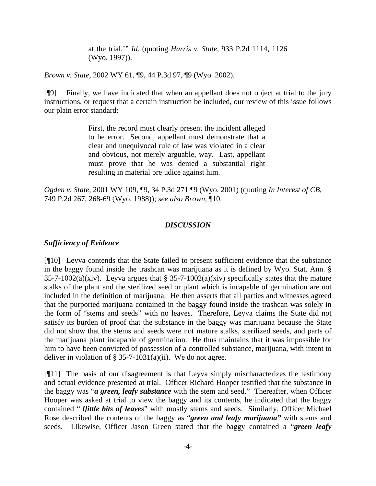at the trial.'" *Id.* (quoting *Harris v. State*, 933 P.2d 1114, 1126 (Wyo. 1997)).

*Brown v. State*, 2002 WY 61, ¶9, 44 P.3d 97, ¶9 (Wyo. 2002).

[¶9] Finally, we have indicated that when an appellant does not object at trial to the jury instructions, or request that a certain instruction be included, our review of this issue follows our plain error standard:

> First, the record must clearly present the incident alleged to be error. Second, appellant must demonstrate that a clear and unequivocal rule of law was violated in a clear and obvious, not merely arguable, way. Last, appellant must prove that he was denied a substantial right resulting in material prejudice against him.

*Ogden v. State*, 2001 WY 109, ¶9, 34 P.3d 271 ¶9 (Wyo. 2001) (quoting *In Interest of CB*, 749 P.2d 267, 268-69 (Wyo. 1988)); *see also Brown*, ¶10.

### *DISCUSSION*

### *Sufficiency of Evidence*

[¶10] Leyva contends that the State failed to present sufficient evidence that the substance in the baggy found inside the trashcan was marijuana as it is defined by Wyo. Stat. Ann. § 35-7-1002(a)(xiv). Leyva argues that  $\S$  35-7-1002(a)(xiv) specifically states that the mature stalks of the plant and the sterilized seed or plant which is incapable of germination are not included in the definition of marijuana. He then asserts that all parties and witnesses agreed that the purported marijuana contained in the baggy found inside the trashcan was solely in the form of "stems and seeds" with no leaves. Therefore, Leyva claims the State did not satisfy its burden of proof that the substance in the baggy was marijuana because the State did not show that the stems and seeds were not mature stalks, sterilized seeds, and parts of the marijuana plant incapable of germination. He thus maintains that it was impossible for him to have been convicted of possession of a controlled substance, marijuana, with intent to deliver in violation of  $\S$  35-7-1031(a)(ii). We do not agree.

[¶11] The basis of our disagreement is that Leyva simply mischaracterizes the testimony and actual evidence presented at trial. Officer Richard Hooper testified that the substance in the baggy was "*a green, leafy substance* with the stem and seed." Thereafter, when Officer Hooper was asked at trial to view the baggy and its contents, he indicated that the baggy contained "[*l]ittle bits of leaves*" with mostly stems and seeds. Similarly, Officer Michael Rose described the contents of the baggy as "*green and leafy marijuana"* with stems and seeds. Likewise, Officer Jason Green stated that the baggy contained a "*green leafy*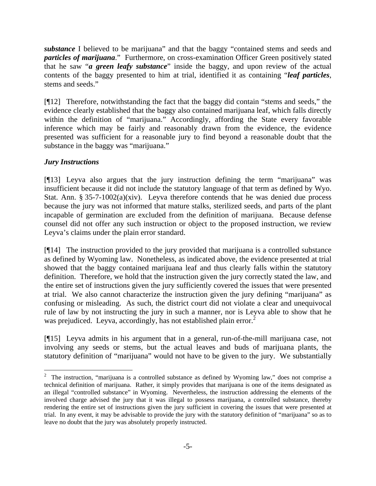*substance* I believed to be marijuana" and that the baggy "contained stems and seeds and *particles of marijuana*." Furthermore, on cross-examination Officer Green positively stated that he saw "*a green leafy substance*" inside the baggy, and upon review of the actual contents of the baggy presented to him at trial, identified it as containing "*leaf particles*, stems and seeds."

[¶12] Therefore, notwithstanding the fact that the baggy did contain "stems and seeds," the evidence clearly established that the baggy also contained marijuana leaf, which falls directly within the definition of "marijuana." Accordingly, affording the State every favorable inference which may be fairly and reasonably drawn from the evidence, the evidence presented was sufficient for a reasonable jury to find beyond a reasonable doubt that the substance in the baggy was "marijuana."

# *Jury Instructions*

l

[¶13] Leyva also argues that the jury instruction defining the term "marijuana" was insufficient because it did not include the statutory language of that term as defined by Wyo. Stat. Ann. § 35-7-1002(a)(xiv). Leyva therefore contends that he was denied due process because the jury was not informed that mature stalks, sterilized seeds, and parts of the plant incapable of germination are excluded from the definition of marijuana. Because defense counsel did not offer any such instruction or object to the proposed instruction, we review Leyva's claims under the plain error standard.

[¶14] The instruction provided to the jury provided that marijuana is a controlled substance as defined by Wyoming law. Nonetheless, as indicated above, the evidence presented at trial showed that the baggy contained marijuana leaf and thus clearly falls within the statutory definition. Therefore, we hold that the instruction given the jury correctly stated the law, and the entire set of instructions given the jury sufficiently covered the issues that were presented at trial. We also cannot characterize the instruction given the jury defining "marijuana" as confusing or misleading. As such, the district court did not violate a clear and unequivocal rule of law by not instructing the jury in such a manner, nor is Leyva able to show that he was prejudiced. Leyva, accordingly, has not established plain error. $^2$  $^2$ 

[¶15] Leyva admits in his argument that in a general, run-of-the-mill marijuana case, not involving any seeds or stems, but the actual leaves and buds of marijuana plants, the statutory definition of "marijuana" would not have to be given to the jury. We substantially

<span id="page-5-0"></span><sup>&</sup>lt;sup>2</sup> The instruction, "marijuana is a controlled substance as defined by Wyoming law," does not comprise a technical definition of marijuana. Rather, it simply provides that marijuana is one of the items designated as an illegal "controlled substance" in Wyoming. Nevertheless, the instruction addressing the elements of the involved charge advised the jury that it was illegal to possess marijuana, a controlled substance, thereby rendering the entire set of instructions given the jury sufficient in covering the issues that were presented at trial. In any event, it may be advisable to provide the jury with the statutory definition of "marijuana" so as to leave no doubt that the jury was absolutely properly instructed.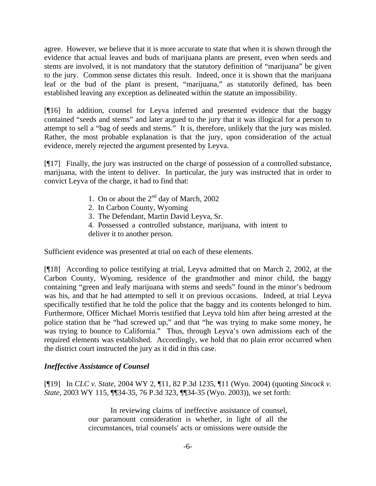agree. However, we believe that it is more accurate to state that when it is shown through the evidence that actual leaves and buds of marijuana plants are present, even when seeds and stems are involved, it is not mandatory that the statutory definition of "marijuana" be given to the jury. Common sense dictates this result. Indeed, once it is shown that the marijuana leaf or the bud of the plant is present, "marijuana," as statutorily defined, has been established leaving any exception as delineated within the statute an impossibility.

[¶16] In addition, counsel for Leyva inferred and presented evidence that the baggy contained "seeds and stems" and later argued to the jury that it was illogical for a person to attempt to sell a "bag of seeds and stems." It is, therefore, unlikely that the jury was misled. Rather, the most probable explanation is that the jury, upon consideration of the actual evidence, merely rejected the argument presented by Leyva.

[¶17] Finally, the jury was instructed on the charge of possession of a controlled substance, marijuana, with the intent to deliver. In particular, the jury was instructed that in order to convict Leyva of the charge, it had to find that:

- 1. On or about the  $2<sup>nd</sup>$  day of March, 2002
- 2. In Carbon County, Wyoming
- 3. The Defendant, Martin David Leyva, Sr.
- 4. Possessed a controlled substance, marijuana, with intent to deliver it to another person.

Sufficient evidence was presented at trial on each of these elements.

[¶18] According to police testifying at trial, Leyva admitted that on March 2, 2002, at the Carbon County, Wyoming, residence of the grandmother and minor child, the baggy containing "green and leafy marijuana with stems and seeds" found in the minor's bedroom was his, and that he had attempted to sell it on previous occasions. Indeed, at trial Leyva specifically testified that he told the police that the baggy and its contents belonged to him. Furthermore, Officer Michael Morris testified that Leyva told him after being arrested at the police station that he "had screwed up," and that "he was trying to make some money, he was trying to bounce to California." Thus, through Leyva's own admissions each of the required elements was established. Accordingly, we hold that no plain error occurred when the district court instructed the jury as it did in this case.

# *Ineffective Assistance of Counsel*

[¶19] In *CLC v. State*, 2004 WY 2, ¶11, 82 P.3d 1235, ¶11 (Wyo. 2004) (quoting *Sincock v. State*, 2003 WY 115, ¶¶34-35, 76 P.3d 323, ¶¶34-35 (Wyo. 2003)), we set forth:

> In reviewing claims of ineffective assistance of counsel, our paramount consideration is whether, in light of all the circumstances, trial counsels' acts or omissions were outside the